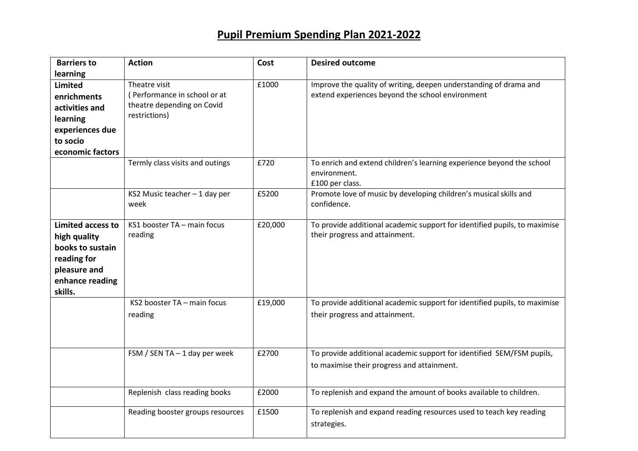## **Pupil Premium Spending Plan 2021-2022**

| <b>Barriers to</b>                                                                                                         | <b>Action</b>                                                                                | Cost    | <b>Desired outcome</b>                                                                                                |
|----------------------------------------------------------------------------------------------------------------------------|----------------------------------------------------------------------------------------------|---------|-----------------------------------------------------------------------------------------------------------------------|
| learning<br><b>Limited</b><br>enrichments<br>activities and<br>learning<br>experiences due<br>to socio<br>economic factors | Theatre visit<br>(Performance in school or at<br>theatre depending on Covid<br>restrictions) | £1000   | Improve the quality of writing, deepen understanding of drama and<br>extend experiences beyond the school environment |
|                                                                                                                            | Termly class visits and outings                                                              | £720    | To enrich and extend children's learning experience beyond the school<br>environment.<br>£100 per class.              |
|                                                                                                                            | KS2 Music teacher - 1 day per<br>week                                                        | £5200   | Promote love of music by developing children's musical skills and<br>confidence.                                      |
| <b>Limited access to</b><br>high quality<br>books to sustain<br>reading for<br>pleasure and<br>enhance reading<br>skills.  | KS1 booster TA - main focus<br>reading                                                       | £20,000 | To provide additional academic support for identified pupils, to maximise<br>their progress and attainment.           |
|                                                                                                                            | KS2 booster TA - main focus<br>reading                                                       | £19,000 | To provide additional academic support for identified pupils, to maximise<br>their progress and attainment.           |
|                                                                                                                            | FSM / SEN TA $-$ 1 day per week                                                              | £2700   | To provide additional academic support for identified SEM/FSM pupils,<br>to maximise their progress and attainment.   |
|                                                                                                                            | Replenish class reading books                                                                | £2000   | To replenish and expand the amount of books available to children.                                                    |
|                                                                                                                            | Reading booster groups resources                                                             | £1500   | To replenish and expand reading resources used to teach key reading<br>strategies.                                    |